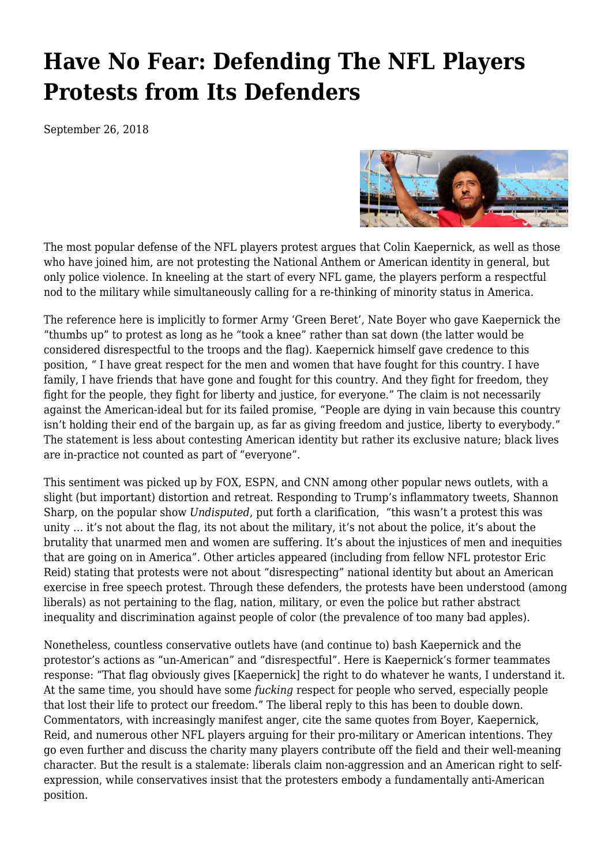## **[Have No Fear: Defending The NFL Players](https://newpol.org/have-no-fear-defending-nfl-players-protests-its-defenders/) [Protests from Its Defenders](https://newpol.org/have-no-fear-defending-nfl-players-protests-its-defenders/)**

September 26, 2018



The most popular defense of the NFL players protest argues that Colin Kaepernick, as well as those who have joined him, are not protesting the National Anthem or American identity in general, but only police violence. In kneeling at the start of every NFL game, the players perform a respectful nod to the military while simultaneously calling for a re-thinking of minority status in America.

The reference here is implicitly to former Army 'Green Beret', Nate Boyer who gave Kaepernick the "thumbs up" to protest as long as he "took a knee" rather than sat down (the latter would be considered disrespectful to the troops and the flag). Kaepernick himself gave credence to this position, " I have great respect for the men and women that have fought for this country. I have family, I have friends that have gone and fought for this country. And they fight for freedom, they fight for the people, they fight for liberty and justice, for everyone." The claim is not necessarily against the American-ideal but for its failed promise, "People are dying in vain because this country isn't holding their end of the bargain up, as far as giving freedom and justice, liberty to everybody." The statement is less about contesting American identity but rather its exclusive nature; black lives are in-practice not counted as part of "everyone".

This sentiment was picked up by FOX, ESPN, and CNN among other popular news outlets, with a slight (but important) distortion and retreat. Responding to Trump's inflammatory tweets, Shannon Sharp, on the popular show *[Undisputed,](https://www.dailykos.com/stories/2017/9/27/1702094/-Shannon-Sharpe-s-response-to-President-Trump-s-comments-about-the-NFL-in-Alabama)* put forth a clarification, "this wasn't a protest this was unity … it's not about the flag, its not about the military, it's not about the police, it's about the brutality that unarmed men and women are suffering. It's about the injustices of men and inequities that are going on in America". Other articles appeared (including from fellow NFL protestor [Eric](https://www.nytimes.com/2017/09/25/opinion/colin-kaepernick-football-protests.html) [Reid](https://www.nytimes.com/2017/09/25/opinion/colin-kaepernick-football-protests.html)) stating that protests were not about ["disrespecting"](https://www.houstonchronicle.com/local/gray-matters/article/Why-taking-a-knee-isn-t-about-disrespecting-the-12270627.php) national identity but about an American exercise in free speech protest. Through these defenders, the protests have been understood (among liberals) as not pertaining to the flag, nation, military, or even the police but rather abstract inequality and discrimination against people of color (the prevalence of too many bad apples).

Nonetheless, countless conservative outlets have (and continue to) bash Kaepernick and the protestor's actions as "un-American" and "disrespectful". Here is Kaepernick's former teammates response: "That flag obviously gives [Kaepernick] the right to do whatever he wants, I understand it. At the same time, you should have some *fucking* respect for people who served, especially people that lost their life to protect our freedom." The liberal reply to this has been to double down. Commentators, with increasingly manifest anger, cite the same quotes from Boyer, Kaepernick, Reid, and numerous other NFL players arguing for their pro-military or American intentions. They go even further and discuss the charity many players contribute off the field and their well-meaning character. But the result is a stalemate: liberals claim non-aggression and an American right to selfexpression, while conservatives insist that the protesters embody a fundamentally anti-American position.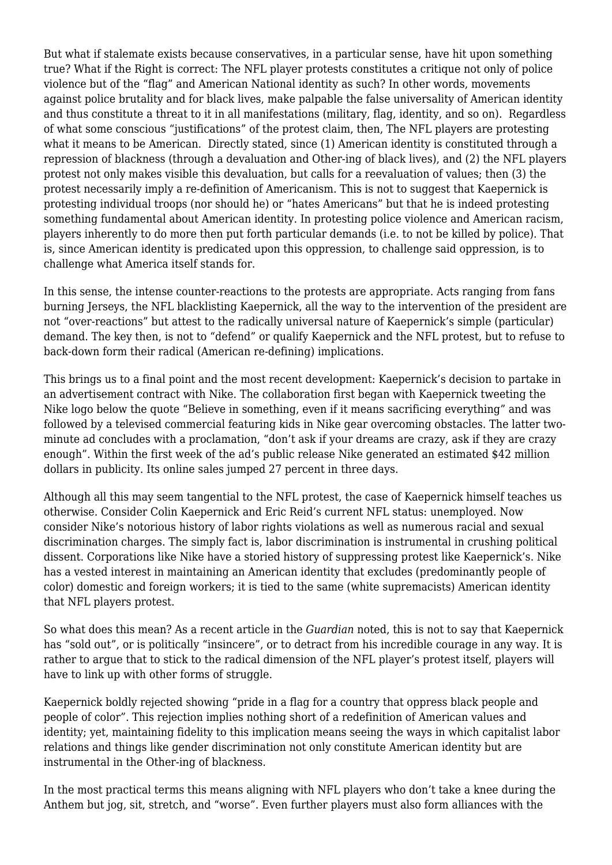But what if stalemate exists because conservatives, in a particular sense, have hit upon something true? What if the Right is correct: The NFL player protests constitutes a critique not only of police violence but of the "flag" and American National identity as such? In other words, movements against police brutality and for black lives, make palpable the false universality of American identity and thus constitute a threat to it in all manifestations (military, flag, identity, and so on). Regardless of what some conscious "justifications" of the protest claim, then, The NFL players are protesting what it means to be American. Directly stated, since (1) American identity is constituted through a repression of blackness (through a devaluation and Other-ing of black lives), and (2) the NFL players protest not only makes visible this devaluation, but calls for a reevaluation of values; then (3) the protest necessarily imply a re-definition of Americanism. This is not to suggest that Kaepernick is protesting individual troops (nor should he) or "hates Americans" but that he is indeed protesting something fundamental about American identity. In protesting police violence and American racism, players inherently to do more then put forth particular demands (i.e. to not be killed by police). That is, since American identity is predicated upon this oppression, to challenge said oppression, is to challenge what America itself stands for.

In this sense, the intense counter-reactions to the protests are appropriate. Acts ranging from fans burning Jerseys, the NFL blacklisting Kaepernick, all the way to the intervention of the president are not "over-reactions" but attest to the radically universal nature of Kaepernick's simple (particular) demand. The key then, is not to "defend" or qualify Kaepernick and the NFL protest, but to refuse to back-down form their radical (American re-defining) implications.

This brings us to a final point and the most recent development: Kaepernick's decision to partake in an advertisement contract with Nike. The collaboration first began with Kaepernick tweeting the Nike logo below the quote "Believe in something, even if it means sacrificing everything" and was followed by a televised commercial featuring kids in Nike gear overcoming obstacles. The latter twominute ad concludes with a proclamation, "don't ask if your dreams are crazy, ask if they are crazy enough". Within the first week of the ad's public release Nike generated an estimated [\\$42 million](https://www.nytimes.com/2018/09/04/sports/nike-colin-kaepernick.html) [dollars](https://www.nytimes.com/2018/09/04/sports/nike-colin-kaepernick.html) in publicity. Its online sales jumped [27 percent](https://www.huffingtonpost.com/entry/nike-online-sales-soar-in-wake-of-kaepernick-ad-campaign_us_5b92f887e4b0511db3e24df2) in three days.

Although all this may seem tangential to the NFL protest, the case of Kaepernick himself teaches us otherwise. Consider Colin Kaepernick and Eric Reid's current NFL status: unemployed. Now consider Nike's notorious history of labor rights violations as well as numerous racial and sexual discrimination charges. The simply fact is, labor discrimination is instrumental in crushing political dissent. Corporations like Nike have a storied history of suppressing protest like Kaepernick's. Nike has a vested interest in maintaining an American identity that excludes (predominantly people of color) domestic and foreign workers; it is tied to the same (white supremacists) American identity that NFL players protest.

So what does this mean? As a recent article in the *Guardian* noted, this is not to say that Kaepernick has "sold out", or is politically "insincere", or to detract from his incredible courage in any way. It is rather to argue that to stick to the radical dimension of the NFL player's protest itself, players will have to link up with other forms of struggle.

Kaepernick boldly rejected showing "pride in a flag for a country that oppress black people and people of color". This rejection implies nothing short of a redefinition of American values and identity; yet, maintaining fidelity to this implication means seeing the ways in which capitalist labor relations and things like gender discrimination not only constitute American identity but are instrumental in the Other-ing of blackness.

In the most practical terms this means aligning with NFL players who don't take a knee during the Anthem but jog, sit, stretch, and "worse". Even further players must also form alliances with the